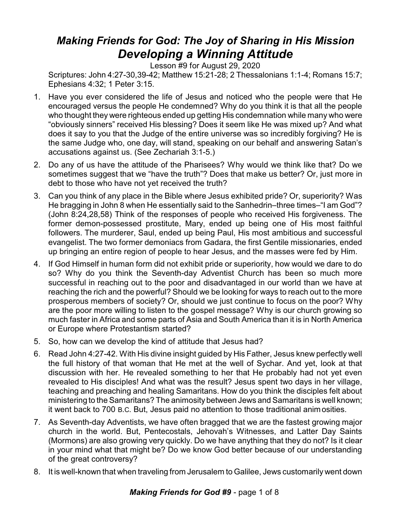## *Making Friends for God: The Joy of Sharing in His Mission Developing a Winning Attitude*

Lesson #9 for August 29, 2020

Scriptures: John 4:27-30,39-42; Matthew 15:21-28; 2 Thessalonians 1:1-4; Romans 15:7; Ephesians 4:32; 1 Peter 3:15.

- 1. Have you ever considered the life of Jesus and noticed who the people were that He encouraged versus the people He condemned? Why do you think it is that all the people who thought they were righteous ended up getting His condemnation while many who were "obviously sinners" received His blessing? Does it seem like He was mixed up? And what does it say to you that the Judge of the entire universe was so incredibly forgiving? He is the same Judge who, one day, will stand, speaking on our behalf and answering Satan's accusations against us. (See Zechariah 3:1-5.)
- 2. Do any of us have the attitude of the Pharisees? Why would we think like that? Do we sometimes suggest that we "have the truth"? Does that make us better? Or, just more in debt to those who have not yet received the truth?
- 3. Can you think of any place in the Bible where Jesus exhibited pride? Or, superiority? Was He bragging in John 8 when He essentially said to the Sanhedrin–three times–"I am God"? (John 8:24,28,58) Think of the responses of people who received His forgiveness. The former demon-possessed prostitute, Mary, ended up being one of His most faithful followers. The murderer, Saul, ended up being Paul, His most ambitious and successful evangelist. The two former demoniacs from Gadara, the first Gentile missionaries, ended up bringing an entire region of people to hear Jesus, and the masses were fed by Him.
- 4. If God Himself in human form did not exhibit pride or superiority, how would we dare to do so? Why do you think the Seventh-day Adventist Church has been so much more successful in reaching out to the poor and disadvantaged in our world than we have at reaching the rich and the powerful? Should we be looking for ways to reach out to the more prosperous members of society? Or, should we just continue to focus on the poor? Why are the poor more willing to listen to the gospel message? Why is our church growing so much faster in Africa and some parts of Asia and South America than it is in North America or Europe where Protestantism started?
- 5. So, how can we develop the kind of attitude that Jesus had?
- 6. Read John 4:27-42. With His divine insight guided by His Father, Jesus knew perfectly well the full history of that woman that He met at the well of Sychar. And yet, look at that discussion with her. He revealed something to her that He probably had not yet even revealed to His disciples! And what was the result? Jesus spent two days in her village, teaching and preaching and healing Samaritans. How do you think the disciples felt about ministering to the Samaritans? The animosity between Jews and Samaritans is well known; it went back to 700 B.C. But, Jesus paid no attention to those traditional animosities.
- 7. As Seventh-day Adventists, we have often bragged that we are the fastest growing major church in the world. But, Pentecostals, Jehovah's Witnesses, and Latter Day Saints (Mormons) are also growing very quickly. Do we have anything that they do not? Is it clear in your mind what that might be? Do we know God better because of our understanding of the great controversy?
- 8. It is well-known that when traveling from Jerusalem to Galilee, Jews customarily went down

## *Making Friends for God #9* - page 1 of 8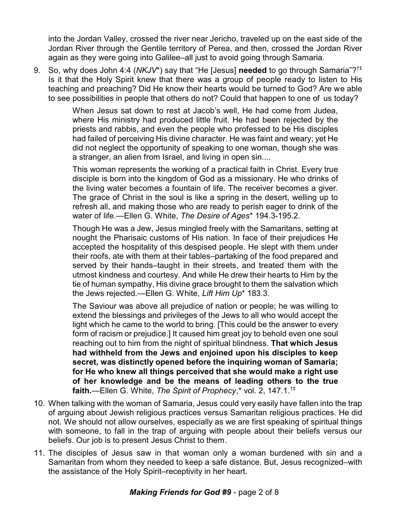into the Jordan Valley, crossed the river near Jericho, traveled up on the east side of the Jordan River through the Gentile territory of Perea, and then, crossed the Jordan River again as they were going into Galilee–all just to avoid going through Samaria.

9. So, why does John 4:4 (*NKJV*\*) say that "He [Jesus] **needed** to go through Samaria"? †‡ Is it that the Holy Spirit knew that there was a group of people ready to listen to His teaching and preaching? Did He know their hearts would be turned to God? Are we able to see possibilities in people that others do not? Could that happen to one of us today?

> When Jesus sat down to rest at Jacob's well, He had come from Judea, where His ministry had produced little fruit. He had been rejected by the priests and rabbis, and even the people who professed to be His disciples had failed of perceiving His divine character. He was faint and weary; yet He did not neglect the opportunity of speaking to one woman, though she was a stranger, an alien from Israel, and living in open sin....

> This woman represents the working of a practical faith in Christ. Every true disciple is born into the kingdom of God as a missionary. He who drinks of the living water becomes a fountain of life. The receiver becomes a giver. The grace of Christ in the soul is like a spring in the desert, welling up to refresh all, and making those who are ready to perish eager to drink of the water of life.—Ellen G. White, *The Desire of Ages*\* 194.3-195.2.

> Though He was a Jew, Jesus mingled freely with the Samaritans, setting at nought the Pharisaic customs of His nation. In face of their prejudices He accepted the hospitality of this despised people. He slept with them under their roofs, ate with them at their tables–partaking of the food prepared and served by their hands–taught in their streets, and treated them with the utmost kindness and courtesy. And while He drew their hearts to Him by the tie of human sympathy, His divine grace brought to them the salvation which the Jews rejected.—Ellen G. White, *Lift Him Up*\* 183.3.

> The Saviour was above all prejudice of nation or people; he was willing to extend the blessings and privileges of the Jews to all who would accept the light which he came to the world to bring. [This could be the answer to every form of racism or prejudice.] It caused him great joy to behold even one soul reaching out to him from the night of spiritual blindness. **That which Jesus had withheld from the Jews and enjoined upon his disciples to keep secret, was distinctly opened before the inquiring woman of Samaria; for He who knew all things perceived that she would make a right use of her knowledge and be the means of leading others to the true faith.**—Ellen G. White, *The Spirit of Prophecy*,\* vol. 2, 147.1.†‡

- 10. When talking with the woman of Samaria, Jesus could very easily have fallen into the trap of arguing about Jewish religious practices versus Samaritan religious practices. He did not. We should not allow ourselves, especially as we are first speaking of spiritual things with someone, to fall in the trap of arguing with people about their beliefs versus our beliefs. Our job is to present Jesus Christ to them.
- 11. The disciples of Jesus saw in that woman only a woman burdened with sin and a Samaritan from whom they needed to keep a safe distance. But, Jesus recognized–with the assistance of the Holy Spirit–receptivity in her heart.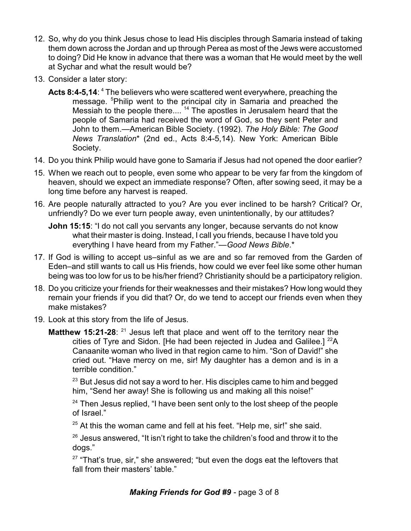- 12. So, why do you think Jesus chose to lead His disciples through Samaria instead of taking them down across the Jordan and up through Perea as most of the Jews were accustomed to doing? Did He know in advance that there was a woman that He would meet by the well at Sychar and what the result would be?
- 13. Consider a later story:
	- **Acts 8:4-5,14**: <sup>4</sup> The believers who were scattered went everywhere, preaching the message. <sup>5</sup>Philip went to the principal city in Samaria and preached the Messiah to the people there....<sup>14</sup> The apostles in Jerusalem heard that the people of Samaria had received the word of God, so they sent Peter and John to them.—American Bible Society. (1992). *The Holy Bible: The Good News Translation*\* (2nd ed., Acts 8:4-5,14). New York: American Bible Society.
- 14. Do you think Philip would have gone to Samaria if Jesus had not opened the door earlier?
- 15. When we reach out to people, even some who appear to be very far from the kingdom of heaven, should we expect an immediate response? Often, after sowing seed, it may be a long time before any harvest is reaped.
- 16. Are people naturally attracted to you? Are you ever inclined to be harsh? Critical? Or, unfriendly? Do we ever turn people away, even unintentionally, by our attitudes?

**John 15:15**: "I do not call you servants any longer, because servants do not know what their master is doing. Instead, I call you friends, because I have told you everything I have heard from my Father."—*Good News Bible*.\*

- 17. If God is willing to accept us–sinful as we are and so far removed from the Garden of Eden–and still wants to call us His friends, how could we ever feel like some other human being was too low for us to be his/her friend? Christianity should be a participatory religion.
- 18. Do you criticize your friends for their weaknesses and their mistakes? How long would they remain your friends if you did that? Or, do we tend to accept our friends even when they make mistakes?
- 19. Look at this story from the life of Jesus.
	- **Matthew 15:21-28**: <sup>21</sup> Jesus left that place and went off to the territory near the cities of Tyre and Sidon. [He had been rejected in Judea and Galilee.]  $^{22}A$ Canaanite woman who lived in that region came to him. "Son of David!" she cried out. "Have mercy on me, sir! My daughter has a demon and is in a terrible condition."

 $^{\rm 23}$  But Jesus did not say a word to her. His disciples came to him and begged him, "Send her away! She is following us and making all this noise!"

<sup>24</sup> Then Jesus replied, "I have been sent only to the lost sheep of the people of Israel."

 $25$  At this the woman came and fell at his feet. "Help me, sir!" she said.

 $^{\rm 26}$  Jesus answered, "It isn't right to take the children's food and throw it to the dogs."

 $27$  "That's true, sir," she answered; "but even the dogs eat the leftovers that fall from their masters' table."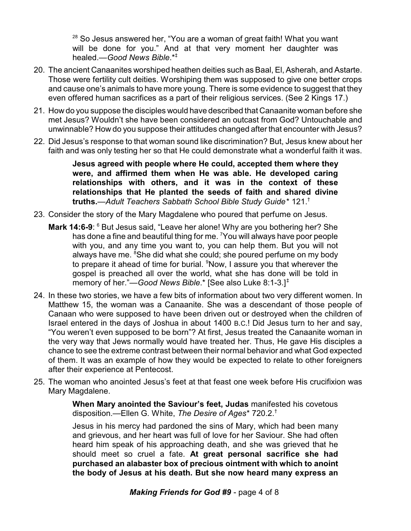$^{28}$  So Jesus answered her, "You are a woman of great faith! What you want will be done for you." And at that very moment her daughter was healed.—*Good News Bible*.\*‡

- 20. The ancient Canaanites worshiped heathen deities such as Baal, El, Asherah, and Astarte. Those were fertility cult deities. Worshiping them was supposed to give one better crops and cause one's animals to have more young. There is some evidence to suggest that they even offered human sacrifices as a part of their religious services. (See 2 Kings 17.)
- 21. How do you suppose the disciples would have described that Canaanite woman before she met Jesus? Wouldn't she have been considered an outcast from God? Untouchable and unwinnable? How do you suppose their attitudes changed after that encounter with Jesus?
- 22. Did Jesus's response to that woman sound like discrimination? But, Jesus knew about her faith and was only testing her so that He could demonstrate what a wonderful faith it was.

**Jesus agreed with people where He could, accepted them where they were, and affirmed them when He was able. He developed caring relationships with others, and it was in the context of these relationships that He planted the seeds of faith and shared divine truths.**—*Adult Teachers Sabbath School Bible Study Guide*\* 121.†

- 23. Consider the story of the Mary Magdalene who poured that perfume on Jesus.
	- **Mark 14:6-9:** <sup>6</sup> But Jesus said, "Leave her alone! Why are you bothering her? She has done a fine and beautiful thing for me. <sup>7</sup>You will always have poor people with you, and any time you want to, you can help them. But you will not always have me. <sup>8</sup>She did what she could; she poured perfume on my body to prepare it ahead of time for burial.  $9Now$ , I assure you that wherever the gospel is preached all over the world, what she has done will be told in memory of her."—*Good News Bible*.\* [See also Luke 8:1-3.]‡
- 24. In these two stories, we have a few bits of information about two very different women. In Matthew 15, the woman was a Canaanite. She was a descendant of those people of Canaan who were supposed to have been driven out or destroyed when the children of Israel entered in the days of Joshua in about 1400 B.C.! Did Jesus turn to her and say, "You weren't even supposed to be born"? At first, Jesus treated the Canaanite woman in the very way that Jews normally would have treated her. Thus, He gave His disciples a chance to see the extreme contrast between their normal behavior and what God expected of them. It was an example of how they would be expected to relate to other foreigners after their experience at Pentecost.
- 25. The woman who anointed Jesus's feet at that feast one week before His crucifixion was Mary Magdalene.

**When Mary anointed the Saviour's feet, Judas** manifested his covetous disposition.—Ellen G. White, *The Desire of Ages*\* 720.2.†

Jesus in his mercy had pardoned the sins of Mary, which had been many and grievous, and her heart was full of love for her Saviour. She had often heard him speak of his approaching death, and she was grieved that he should meet so cruel a fate. **At great personal sacrifice she had purchased an alabaster box of precious ointment with which to anoint the body of Jesus at his death. But she now heard many express an**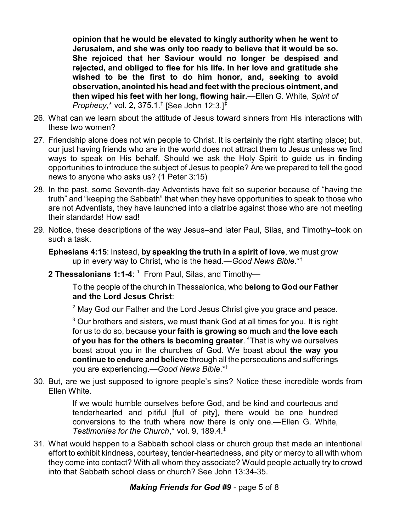**opinion that he would be elevated to kingly authority when he went to Jerusalem, and she was only too ready to believe that it would be so. She rejoiced that her Saviour would no longer be despised and rejected, and obliged to flee for his life. In her love and gratitude she wished to be the first to do him honor, and, seeking to avoid observation, anointed his head and feet with the precious ointment, and then wiped his feet with her long, flowing hair.**—Ellen G. White, *Spirit of Prophecy*,\* vol. 2, 375.1.† [See John 12:3.]‡

- 26. What can we learn about the attitude of Jesus toward sinners from His interactions with these two women?
- 27. Friendship alone does not win people to Christ. It is certainly the right starting place; but, our just having friends who are in the world does not attract them to Jesus unless we find ways to speak on His behalf. Should we ask the Holy Spirit to guide us in finding opportunities to introduce the subject of Jesus to people? Are we prepared to tell the good news to anyone who asks us? (1 Peter 3:15)
- 28. In the past, some Seventh-day Adventists have felt so superior because of "having the truth" and "keeping the Sabbath" that when they have opportunities to speak to those who are not Adventists, they have launched into a diatribe against those who are not meeting their standards! How sad!
- 29. Notice, these descriptions of the way Jesus–and later Paul, Silas, and Timothy–took on such a task.

**Ephesians 4:15**: Instead, **by speaking the truth in a spirit of love**, we must grow up in every way to Christ, who is the head.—*Good News Bible*.\*†

**2 Thessalonians 1:1-4**: <sup>1</sup> From Paul, Silas, and Timothy—

To the people of the church in Thessalonica, who **belong to God our Father and the Lord Jesus Christ**:

 $2$  May God our Father and the Lord Jesus Christ give you grace and peace.

 $^3$  Our brothers and sisters, we must thank God at all times for you. It is right for us to do so, because **your faith is growing so much** and **the love each of you has for the others is becoming greater**. <sup>4</sup>That is why we ourselves boast about you in the churches of God. We boast about **the way you continue to endure and believe** through all the persecutions and sufferings you are experiencing.—*Good News Bible*.\*†

30. But, are we just supposed to ignore people's sins? Notice these incredible words from Ellen White.

> If we would humble ourselves before God, and be kind and courteous and tenderhearted and pitiful [full of pity], there would be one hundred conversions to the truth where now there is only one.—Ellen G. White, *Testimonies for the Church*,\* vol. 9, 189.4.‡

31. What would happen to a Sabbath school class or church group that made an intentional effort to exhibit kindness, courtesy, tender-heartedness, and pity or mercy to all with whom they come into contact? With all whom they associate? Would people actually try to crowd into that Sabbath school class or church? See John 13:34-35.

## *Making Friends for God #9* - page 5 of 8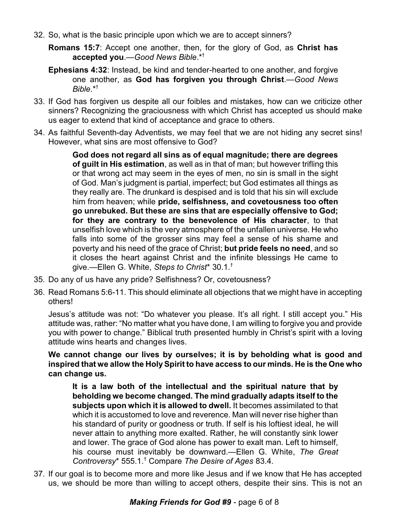- 32. So, what is the basic principle upon which we are to accept sinners?
	- **Romans 15:7**: Accept one another, then, for the glory of God, as **Christ has accepted you**.—*Good News Bible*.\*†
	- **Ephesians 4:32**: Instead, be kind and tender-hearted to one another, and forgive one another, as **God has forgiven you through Christ**.—*Good News Bible*.\*†
- 33. If God has forgiven us despite all our foibles and mistakes, how can we criticize other sinners? Recognizing the graciousness with which Christ has accepted us should make us eager to extend that kind of acceptance and grace to others.
- 34. As faithful Seventh-day Adventists, we may feel that we are not hiding any secret sins! However, what sins are most offensive to God?

**God does not regard all sins as of equal magnitude; there are degrees of guilt in His estimation**, as well as in that of man; but however trifling this or that wrong act may seem in the eyes of men, no sin is small in the sight of God. Man's judgment is partial, imperfect; but God estimates all things as they really are. The drunkard is despised and is told that his sin will exclude him from heaven; while **pride, selfishness, and covetousness too often go unrebuked. But these are sins that are especially offensive to God; for they are contrary to the benevolence of His character**, to that unselfish love which is the very atmosphere of the unfallen universe. He who falls into some of the grosser sins may feel a sense of his shame and poverty and his need of the grace of Christ; **but pride feels no need**, and so it closes the heart against Christ and the infinite blessings He came to give.—Ellen G. White, *Steps to Christ*\* 30.1.†

- 35. Do any of us have any pride? Selfishness? Or, covetousness?
- 36. Read Romans 5:6-11. This should eliminate all objections that we might have in accepting others!

Jesus's attitude was not: "Do whatever you please. It's all right. I still accept you." His attitude was, rather: "No matter what you have done, I am willing to forgive you and provide you with power to change." Biblical truth presented humbly in Christ's spirit with a loving attitude wins hearts and changes lives.

**We cannot change our lives by ourselves; it is by beholding what is good and inspired that we allow the HolySpirit to have access to our minds. He is the One who can change us.** 

**It is a law both of the intellectual and the spiritual nature that by beholding we become changed. The mind gradually adapts itself to the subjects upon which it is allowed to dwell.** It becomes assimilated to that which it is accustomed to love and reverence. Man will never rise higher than his standard of purity or goodness or truth. If self is his loftiest ideal, he will never attain to anything more exalted. Rather, he will constantly sink lower and lower. The grace of God alone has power to exalt man. Left to himself, his course must inevitably be downward.—Ellen G. White, *The Great Controversy*\* 555.1.† Compare *The Desire of Ages* 83.4.

37. If our goal is to become more and more like Jesus and if we know that He has accepted us, we should be more than willing to accept others, despite their sins. This is not an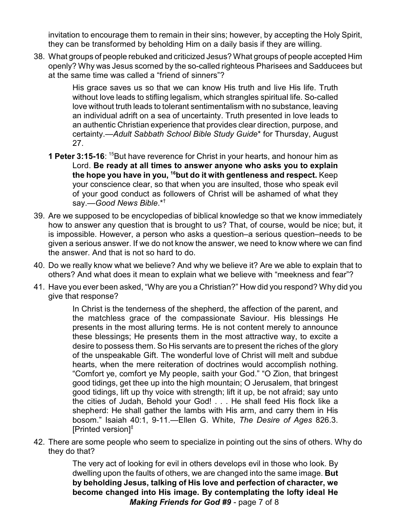invitation to encourage them to remain in their sins; however, by accepting the Holy Spirit, they can be transformed by beholding Him on a daily basis if they are willing.

38. What groups of people rebuked and criticized Jesus? What groups of people accepted Him openly? Why was Jesus scorned by the so-called righteous Pharisees and Sadducees but at the same time was called a "friend of sinners"?

> His grace saves us so that we can know His truth and live His life. Truth without love leads to stifling legalism, which strangles spiritual life. So-called love without truth leads to tolerant sentimentalism with no substance, leaving an individual adrift on a sea of uncertainty. Truth presented in love leads to an authentic Christian experience that provides clear direction, purpose, and certainty.—*Adult Sabbath School Bible Study Guide*\* for Thursday, August 27.

- **1 Peter 3:15-16:** <sup>15</sup>But have reverence for Christ in your hearts, and honour him as Lord. **Be ready at all times to answer anyone who asks you to explain the hope you have in you, <sup>16</sup>but do it with gentleness and respect.** Keep your conscience clear, so that when you are insulted, those who speak evil of your good conduct as followers of Christ will be ashamed of what they say.—*Good News Bible*.\*†
- 39. Are we supposed to be encyclopedias of biblical knowledge so that we know immediately how to answer any question that is brought to us? That, of course, would be nice; but, it is impossible. However, a person who asks a question–a serious question–needs to be given a serious answer. If we do not know the answer, we need to know where we can find the answer. And that is not so hard to do.
- 40. Do we really know what we believe? And why we believe it? Are we able to explain that to others? And what does it mean to explain what we believe with "meekness and fear"?
- 41. Have you ever been asked, "Why are you a Christian?" How did you respond? Why did you give that response?

In Christ is the tenderness of the shepherd, the affection of the parent, and the matchless grace of the compassionate Saviour. His blessings He presents in the most alluring terms. He is not content merely to announce these blessings; He presents them in the most attractive way, to excite a desire to possess them. So His servants are to present the riches of the glory of the unspeakable Gift. The wonderful love of Christ will melt and subdue hearts, when the mere reiteration of doctrines would accomplish nothing. "Comfort ye, comfort ye My people, saith your God." "O Zion, that bringest good tidings, get thee up into the high mountain; O Jerusalem, that bringest good tidings, lift up thy voice with strength; lift it up, be not afraid; say unto the cities of Judah, Behold your God! . . . He shall feed His flock like a shepherd: He shall gather the lambs with His arm, and carry them in His bosom." Isaiah 40:1, 9-11.—Ellen G. White, *The Desire of Ages* 826.3. [Printed version]‡

42. There are some people who seem to specialize in pointing out the sins of others. Why do they do that?

> The very act of looking for evil in others develops evil in those who look. By dwelling upon the faults of others, we are changed into the same image. **But by beholding Jesus, talking of His love and perfection of character, we become changed into His image. By contemplating the lofty ideal He** *Making Friends for God #9* - page 7 of 8